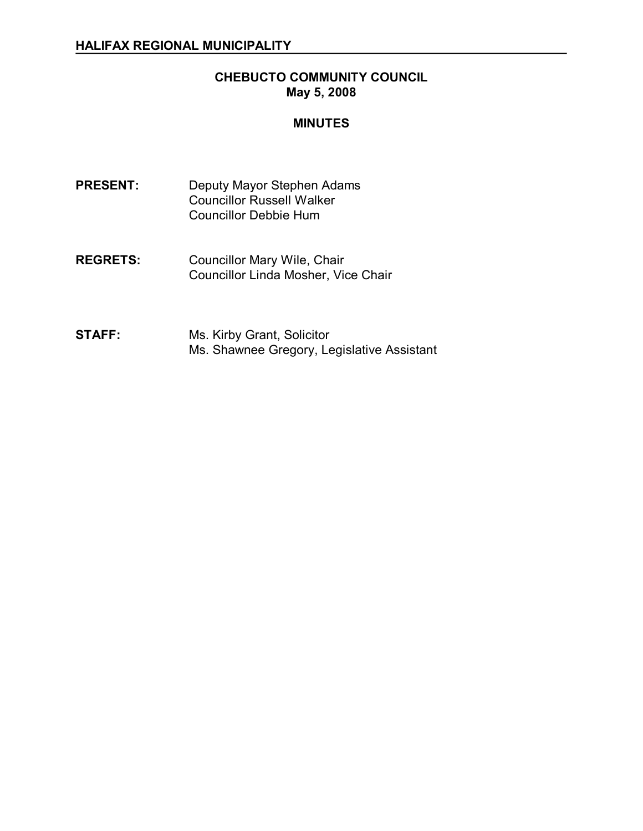# **CHEBUCTO COMMUNITY COUNCIL May 5, 2008**

# **MINUTES**

- PRESENT: Deputy Mayor Stephen Adams Councillor Russell Walker Councillor Debbie Hum
- **REGRETS:** Councillor Mary Wile, Chair Councillor Linda Mosher, Vice Chair
- **STAFF:** Ms. Kirby Grant, Solicitor Ms. Shawnee Gregory, Legislative Assistant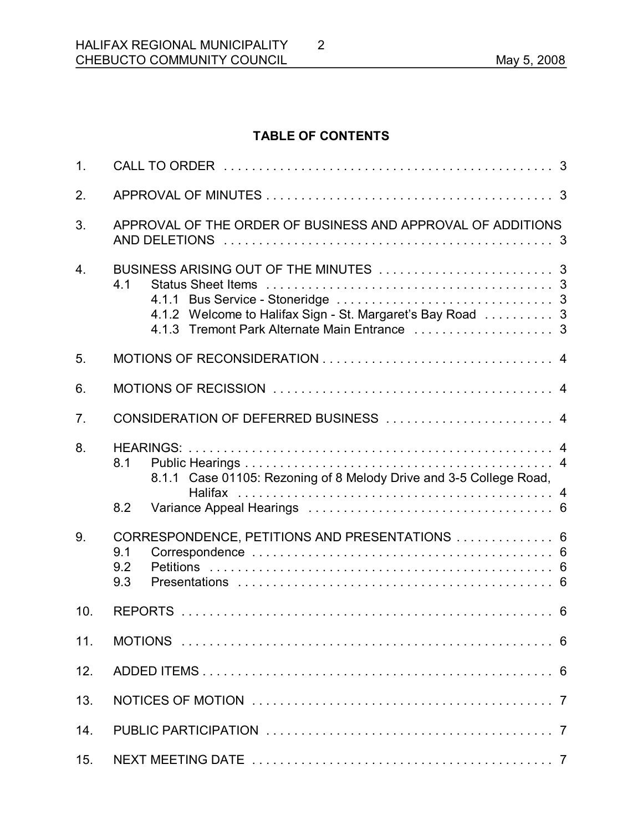# **TABLE OF CONTENTS**

2

| 1.               |                                                                                  |  |  |
|------------------|----------------------------------------------------------------------------------|--|--|
| 2.               |                                                                                  |  |  |
| 3.               | APPROVAL OF THE ORDER OF BUSINESS AND APPROVAL OF ADDITIONS                      |  |  |
| $\overline{4}$ . | 4.1<br>4.1.2 Welcome to Halifax Sign - St. Margaret's Bay Road  3                |  |  |
| 5.               |                                                                                  |  |  |
| 6.               |                                                                                  |  |  |
| 7.               | CONSIDERATION OF DEFERRED BUSINESS  4                                            |  |  |
| 8.               | 8.1<br>8.1.1 Case 01105: Rezoning of 8 Melody Drive and 3-5 College Road,<br>8.2 |  |  |
| 9.               | CORRESPONDENCE, PETITIONS AND PRESENTATIONS  6<br>9.1<br>9.2<br>9.3              |  |  |
| 10.              |                                                                                  |  |  |
| 11.              |                                                                                  |  |  |
| 12.              |                                                                                  |  |  |
| 13.              |                                                                                  |  |  |
| 14.              |                                                                                  |  |  |
| 15.              |                                                                                  |  |  |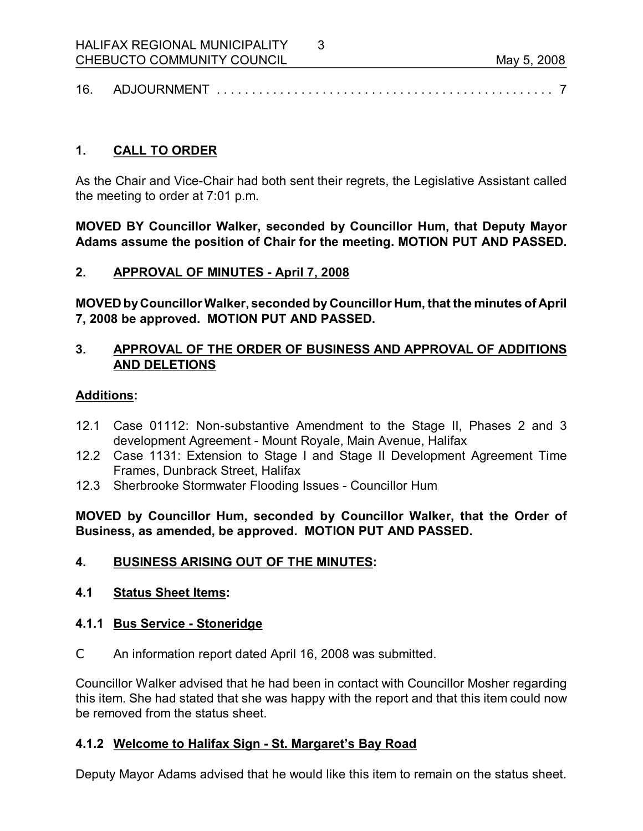| 16 | ™ ' ' ' ' ' ' ' ' ' ' |  |  |
|----|-----------------------|--|--|
|----|-----------------------|--|--|

3

# **1. CALL TO ORDER**

As the Chair and Vice-Chair had both sent their regrets, the Legislative Assistant called the meeting to order at 7:01 p.m.

**MOVED BY Councillor Walker, seconded by Councillor Hum, that Deputy Mayor Adams assume the position of Chair for the meeting. MOTION PUT AND PASSED.** 

# **2. APPROVAL OF MINUTES April 7, 2008**

**MOVED byCouncillorWalker, seconded by Councillor Hum, that the minutes of April 7, 2008 be approved. MOTION PUT AND PASSED.** 

# **3. APPROVAL OF THE ORDER OF BUSINESS AND APPROVAL OF ADDITIONS AND DELETIONS**

# **Additions:**

- 12.1 Case 01112: Non-substantive Amendment to the Stage II, Phases 2 and 3 development Agreement - Mount Royale, Main Avenue, Halifax
- 12.2 Case 1131: Extension to Stage I and Stage II Development Agreement Time Frames, Dunbrack Street, Halifax
- 12.3 Sherbrooke Stormwater Flooding Issues Councillor Hum

**MOVED by Councillor Hum, seconded by Councillor Walker, that the Order of Business, as amended, be approved. MOTION PUT AND PASSED.** 

# **4. BUSINESS ARISING OUT OF THE MINUTES:**

# **4.1 Status Sheet Items:**

# **4.1.1 Bus Service Stoneridge**

C An information report dated April 16, 2008 was submitted.

Councillor Walker advised that he had been in contact with Councillor Mosher regarding this item. She had stated that she was happy with the report and that this item could now be removed from the status sheet.

# **4.1.2 Welcome to Halifax Sign - St. Margaret's Bay Road**

Deputy Mayor Adams advised that he would like this item to remain on the status sheet.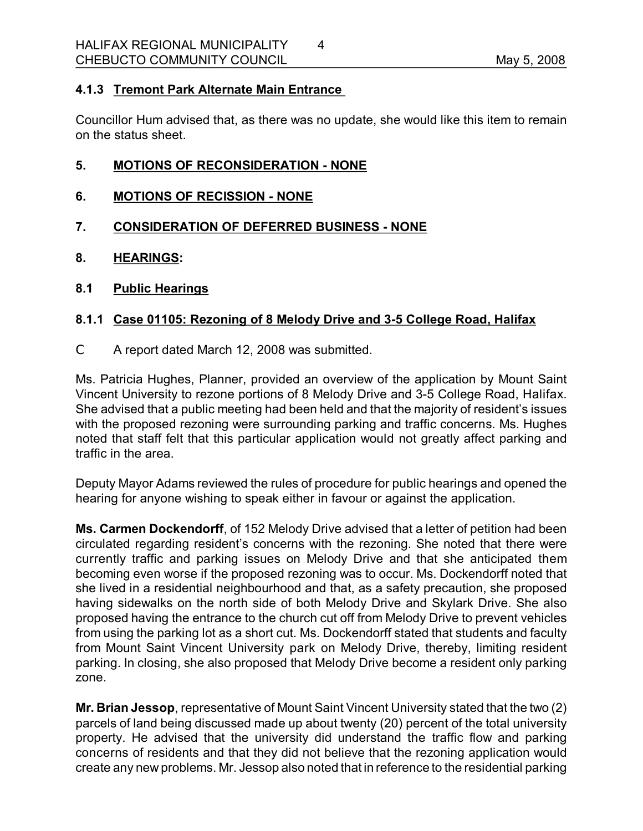# **4.1.3 Tremont Park Alternate Main Entrance**

Councillor Hum advised that, as there was no update, she would like this item to remain on the status sheet.

# **5. MOTIONS OF RECONSIDERATION NONE**

- **6. MOTIONS OF RECISSION NONE**
- **7. CONSIDERATION OF DEFERRED BUSINESS NONE**
- **8. HEARINGS:**
- **8.1 Public Hearings**

# **8.1.1 Case 01105: Rezoning of 8 Melody Drive and 35 College Road, Halifax**

C A report dated March 12, 2008 was submitted.

Ms. Patricia Hughes, Planner, provided an overview of the application by Mount Saint Vincent University to rezone portions of 8 Melody Drive and 35 College Road, Halifax. She advised that a public meeting had been held and that the majority of resident's issues with the proposed rezoning were surrounding parking and traffic concerns. Ms. Hughes noted that staff felt that this particular application would not greatly affect parking and traffic in the area.

Deputy Mayor Adams reviewed the rules of procedure for public hearings and opened the hearing for anyone wishing to speak either in favour or against the application.

**Ms. Carmen Dockendorff**, of 152 Melody Drive advised that a letter of petition had been circulated regarding resident's concerns with the rezoning. She noted that there were currently traffic and parking issues on Melody Drive and that she anticipated them becoming even worse if the proposed rezoning was to occur. Ms. Dockendorff noted that she lived in a residential neighbourhood and that, as a safety precaution, she proposed having sidewalks on the north side of both Melody Drive and Skylark Drive. She also proposed having the entrance to the church cut off from Melody Drive to prevent vehicles from using the parking lot as a short cut. Ms. Dockendorff stated that students and faculty from Mount Saint Vincent University park on Melody Drive, thereby, limiting resident parking. In closing, she also proposed that Melody Drive become a resident only parking zone.

**Mr. Brian Jessop**, representative of Mount Saint Vincent University stated that the two (2) parcels of land being discussed made up about twenty (20) percent of the total university property. He advised that the university did understand the traffic flow and parking concerns of residents and that they did not believe that the rezoning application would create any new problems. Mr. Jessop also noted that in reference to the residential parking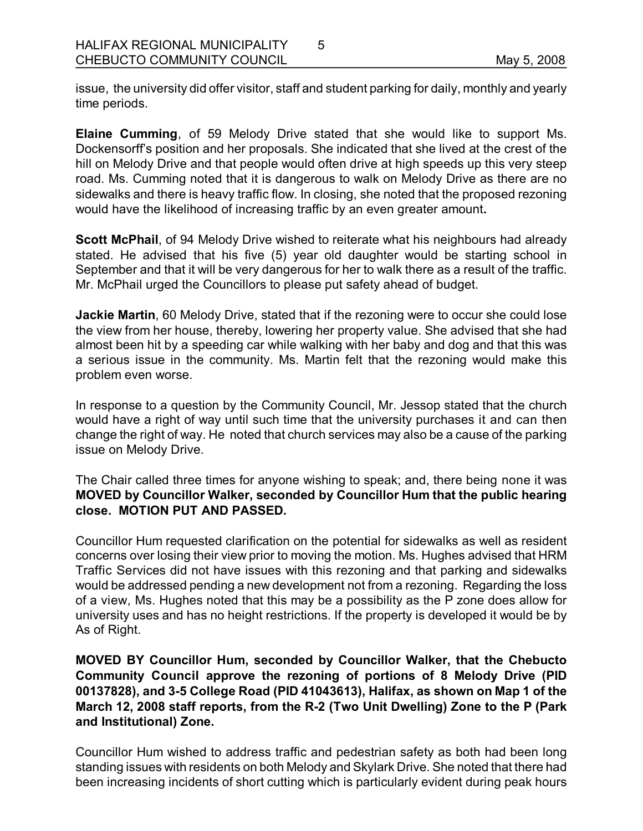issue, the university did offer visitor, staff and student parking for daily, monthly and yearly time periods.

5

**Elaine Cumming, of 59 Melody Drive stated that she would like to support Ms.** Dockensorff's position and her proposals. She indicated that she lived at the crest of the hill on Melody Drive and that people would often drive at high speeds up this very steep road. Ms. Cumming noted that it is dangerous to walk on Melody Drive as there are no sidewalks and there is heavy traffic flow. In closing, she noted that the proposed rezoning would have the likelihood of increasing traffic by an even greater amount**.** 

**Scott McPhail**, of 94 Melody Drive wished to reiterate what his neighbours had already stated. He advised that his five (5) year old daughter would be starting school in September and that it will be very dangerous for her to walk there as a result of the traffic. Mr. McPhail urged the Councillors to please put safety ahead of budget.

**Jackie Martin**, 60 Melody Drive, stated that if the rezoning were to occur she could lose the view from her house, thereby, lowering her property value. She advised that she had almost been hit by a speeding car while walking with her baby and dog and that this was a serious issue in the community. Ms. Martin felt that the rezoning would make this problem even worse.

In response to a question by the Community Council, Mr. Jessop stated that the church would have a right of way until such time that the university purchases it and can then change the right of way. He noted that church services may also be a cause of the parking issue on Melody Drive.

The Chair called three times for anyone wishing to speak; and, there being none it was **MOVED by Councillor Walker, seconded by Councillor Hum that the public hearing close. MOTION PUT AND PASSED.**

Councillor Hum requested clarification on the potential for sidewalks as well as resident concerns over losing their view prior to moving the motion. Ms. Hughes advised that HRM Traffic Services did not have issues with this rezoning and that parking and sidewalks would be addressed pending a new development not from a rezoning. Regarding the loss of a view, Ms. Hughes noted that this may be a possibility as the P zone does allow for university uses and has no height restrictions. If the property is developed it would be by As of Right.

**MOVED BY Councillor Hum, seconded by Councillor Walker, that the Chebucto Community Council approve the rezoning of portions of 8 Melody Drive (PID 00137828), and 35 College Road (PID 41043613), Halifax, as shown on Map 1 of the March 12, 2008 staff reports, from the R2 (Two Unit Dwelling) Zone to the P (Park and Institutional) Zone.**

Councillor Hum wished to address traffic and pedestrian safety as both had been long standing issues with residents on both Melody and Skylark Drive. She noted that there had been increasing incidents of short cutting which is particularly evident during peak hours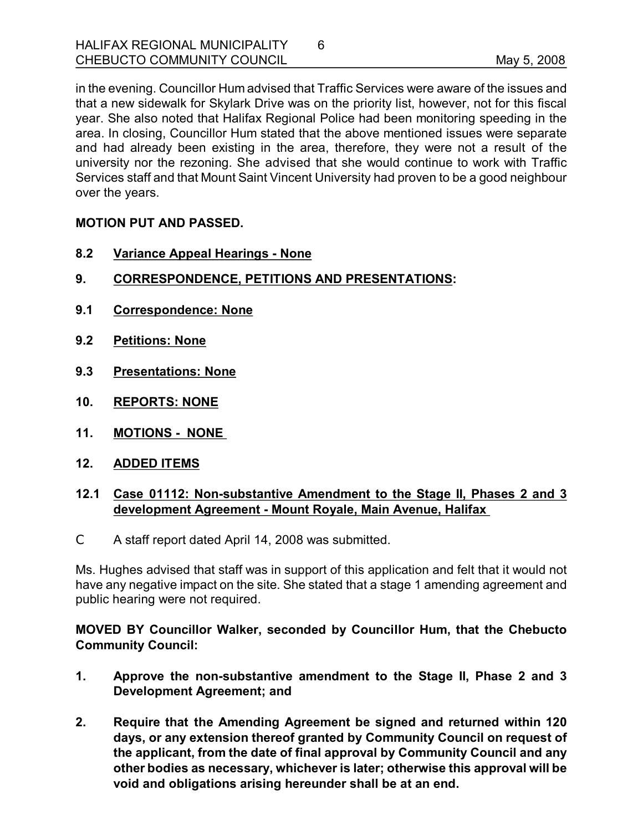in the evening. Councillor Hum advised that Traffic Services were aware of the issues and that a new sidewalk for Skylark Drive was on the priority list, however, not for this fiscal year. She also noted that Halifax Regional Police had been monitoring speeding in the area. In closing, Councillor Hum stated that the above mentioned issues were separate and had already been existing in the area, therefore, they were not a result of the university nor the rezoning. She advised that she would continue to work with Traffic Services staff and that Mount Saint Vincent University had proven to be a good neighbour over the years.

6

# **MOTION PUT AND PASSED.**

- **8.2 Variance Appeal Hearings None**
- **9. CORRESPONDENCE, PETITIONS AND PRESENTATIONS:**
- **9.1 Correspondence: None**
- **9.2 Petitions: None**
- **9.3 Presentations: None**
- **10. REPORTS: NONE**
- **11. MOTIONS NONE**
- **12. ADDED ITEMS**

# **12.1 Case 01112: Nonsubstantive Amendment to the Stage II, Phases 2 and 3 development Agreement Mount Royale, Main Avenue, Halifax**

C A staff report dated April 14, 2008 was submitted.

Ms. Hughes advised that staff was in support of this application and felt that it would not have any negative impact on the site. She stated that a stage 1 amending agreement and public hearing were not required.

**MOVED BY Councillor Walker, seconded by Councillor Hum, that the Chebucto Community Council:**

- **1. Approve the nonsubstantive amendment to the Stage II, Phase 2 and 3 Development Agreement; and**
- **2. Require that the Amending Agreement be signed and returned within 120 days, or any extension thereof granted by Community Council on request of the applicant, from the date of final approval by Community Council and any other bodies as necessary, whichever is later; otherwise this approval will be void and obligations arising hereunder shall be at an end.**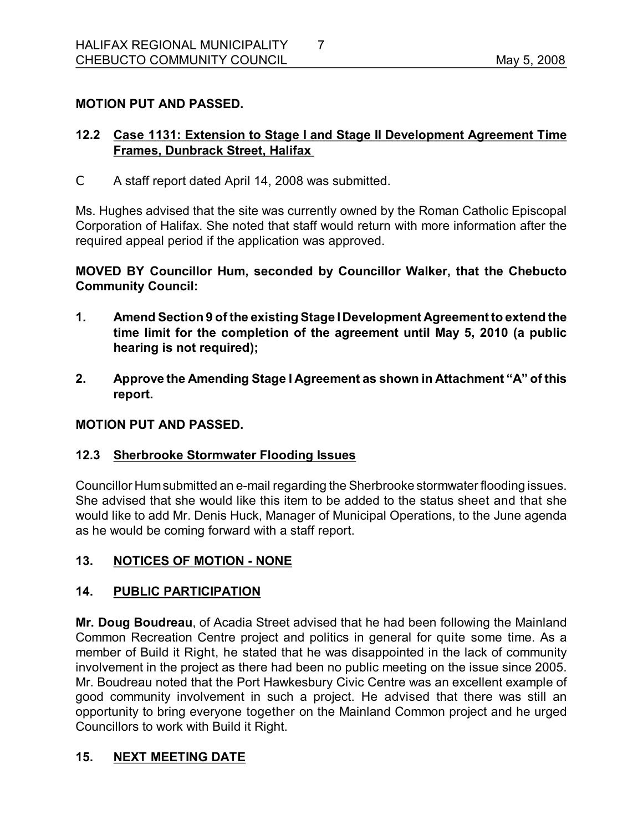# **MOTION PUT AND PASSED.**

# **12.2 Case 1131: Extension to Stage I and Stage II Development Agreement Time Frames, Dunbrack Street, Halifax**

C A staff report dated April 14, 2008 was submitted.

Ms. Hughes advised that the site was currently owned by the Roman Catholic Episcopal Corporation of Halifax. She noted that staff would return with more information after the required appeal period if the application was approved.

**MOVED BY Councillor Hum, seconded by Councillor Walker, that the Chebucto Community Council:**

- **1. Amend Section 9 of the existing Stage IDevelopment Agreement to extend the time limit for the completion of the agreement until May 5, 2010 (a public hearing is not required);**
- **2. Approve the Amending Stage I Agreement as shown in Attachment "A" of this report.**

#### **MOTION PUT AND PASSED.**

# **12.3 Sherbrooke Stormwater Flooding Issues**

Councillor Hum submitted an e-mail regarding the Sherbrooke stormwater flooding issues. She advised that she would like this item to be added to the status sheet and that she would like to add Mr. Denis Huck, Manager of Municipal Operations, to the June agenda as he would be coming forward with a staff report.

# 13. NOTICES OF MOTION - NONE

# **14. PUBLIC PARTICIPATION**

**Mr. Doug Boudreau**, of Acadia Street advised that he had been following the Mainland Common Recreation Centre project and politics in general for quite some time. As a member of Build it Right, he stated that he was disappointed in the lack of community involvement in the project as there had been no public meeting on the issue since 2005. Mr. Boudreau noted that the Port Hawkesbury Civic Centre was an excellent example of good community involvement in such a project. He advised that there was still an opportunity to bring everyone together on the Mainland Common project and he urged Councillors to work with Build it Right.

# **15. NEXT MEETING DATE**